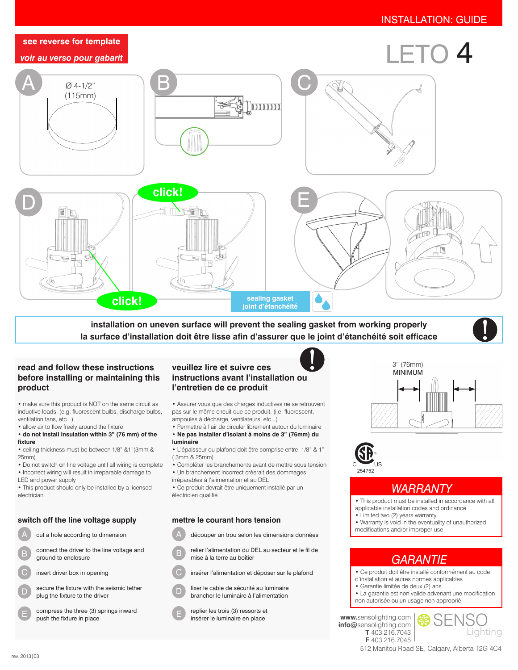

**installation on uneven surface will prevent the sealing gasket from working properly la surface d'installation doit être lisse afin d'assurer que le joint d'étanchéité soit efficace**

### **read and follow these instructions before installing or maintaining this product**

• make sure this product is NOT on the same circuit as inductive loads, (e.g. fluorescent bulbs, discharge bulbs, ventilation fans, etc...)

- allow air to flow freely around the fixture
- **do not install insulation within 3" (76 mm) of the fixture**
- ceiling thickness must be between 1/8" &1"(3mm & 25mm)
- Do not switch on line voltage until all wiring is complete • Incorrect wiring will result in irreparable damage to

LED and power supply • This product should only be installed by a licensed electrician

### **switch off the line voltage supply mettre le courant hors tension**

cut a hole according to dimension

- B connect the driver to the line voltage and ground to enclosure
- C insert driver box in opening
- D secure the fixture with the seismic tether plug the fixture to the driver
	- compress the three (3) springs inward push the fixture in place

## **veuillez lire et suivre ces instructions avant l'installation ou l'entretien de ce produit**

• Assurer vous que des charges inductives ne se retrouvent pas sur le même circuit que ce produit, (i.e. fluorescent, ampoules à décharge, ventilateurs, etc...)

- Permettre à l'air de circuler librement autour du luminaire • **Ne pas installer d'isolant à moins de 3" (76mm) du luminaire**
- L'épaisseur du plafond doit être comprise entre 1/8" & 1" ( 3mm & 25mm)
- Compléter les branchements avant de mettre sous tension • Un branchement incorrect créerait des dommages
- irréparables à l'alimentation et au DEL

• Ce produit devrait être uniquement installé par un électricien qualifié

mise à la terre au boîtier

A découper un trou selon les dimensions données

relier l'alimentation du DEL au secteur et le fil de



- 
- C D insérer l'alimentation et déposer sur le plafond
	- fixer le cable de sécurité au luminaire brancher le luminaire à l'alimentation
	- E replier les trois (3) ressorts et insérer le luminaire en place





# *WARRANTY*

• This product must be installed in accordance with all applicable installation codes and ordinance

- Limited two (2) years warranty
- Warranty is void in the eventuality of unauthorized

modifications and/or improper use

# *GARANTIE*

- Ce produit doit être installé conformément au code d'installation et autres normes applicables
- Garantie limitée de deux (2) ans
- La garantie est non valide advenant une modification
- non autorisée ou un usage non approprié

**www.**sensolighting.com **info@**sensolighting.com **T** 403.216.7043

**F** 403.216.7045



512 Manitou Road SE, Calgary, Alberta T2G 4C4

E